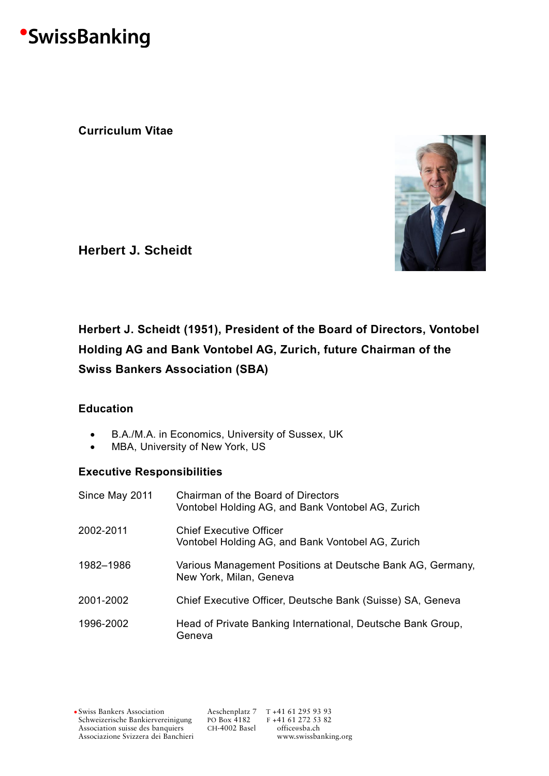# **SwissBanking**

**Curriculum Vitae**



**Herbert J. Scheidt**

### **Herbert J. Scheidt (1951), President of the Board of Directors, Vontobel Holding AG and Bank Vontobel AG, Zurich, future Chairman of the Swiss Bankers Association (SBA)**

### **Education**

- B.A./M.A. in Economics, University of Sussex, UK
- MBA, University of New York, US

### **Executive Responsibilities**

| Since May 2011 | Chairman of the Board of Directors<br>Vontobel Holding AG, and Bank Vontobel AG, Zurich |
|----------------|-----------------------------------------------------------------------------------------|
| 2002-2011      | Chief Executive Officer<br>Vontobel Holding AG, and Bank Vontobel AG, Zurich            |
| 1982-1986      | Various Management Positions at Deutsche Bank AG, Germany,<br>New York, Milan, Geneva   |
| 2001-2002      | Chief Executive Officer, Deutsche Bank (Suisse) SA, Geneva                              |
| 1996-2002      | Head of Private Banking International, Deutsche Bank Group,<br>Geneva                   |